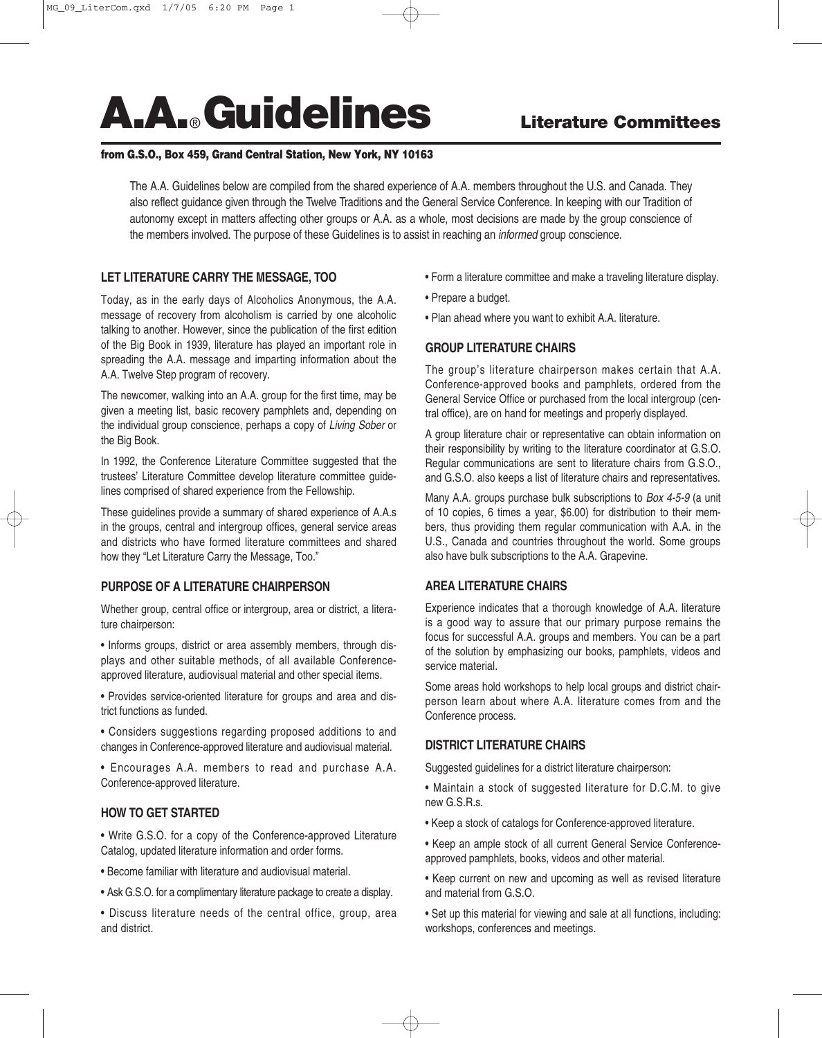# **A.A.**®**Guidelines Literature Committees**

# **from G.S.O., Box 459, Grand Central Station, New York, NY 10163**

The A.A. Guidelines below are compiled from the shared experience of A.A. members throughout the U.S. and Canada. They also reflect guidance given through the Twelve Traditions and the General Service Conference. In keeping with our Tradition of autonomy except in matters affecting other groups or A.A. as a whole, most decisions are made by the group conscience of the members involved. The purpose of these Guidelines is to assist in reaching an *informed* group conscience.

# **LET LITERATURE CARRY THE MESSAGE, TOO**

Today, as in the early days of Alcoholics Anonymous, the A.A. message of recovery from alcoholism is carried by one alcoholic talking to another. However, since the publication of the first edition of the Big Book in 1939, literature has played an important role in spreading the A.A. message and imparting information about the A.A. Twelve Step program of recovery.

The newcomer, walking into an A.A. group for the first time, may be given a meeting list, basic recovery pamphlets and, depending on the individual group conscience, perhaps a copy of *Living Sober* or the Big Book.

In 1992, the Conference Literature Committee suggested that the trustees' Literature Committee develop literature committee guidelines comprised of shared experience from the Fellowship.

These guidelines provide a summary of shared experience of A.A.s in the groups, central and intergroup offices, general service areas and districts who have formed literature committees and shared how they "Let Literature Carry the Message, Too."

# **PURPOSE OF A LITERATURE CHAIRPERSON**

Whether group, central office or intergroup, area or district, a literature chairperson:

• Informs groups, district or area assembly members, through displays and other suitable methods, of all available Conferenceapproved literature, audiovisual material and other special items.

• Provides service-oriented literature for groups and area and district functions as funded.

• Considers suggestions regarding proposed additions to and changes in Conference-approved literature and audiovisual material.

• Encourages A.A. members to read and purchase A.A. Conference-approved literature.

## **HOW TO GET STARTED**

• Write G.S.O. for a copy of the Conference-approved Literature Catalog, updated literature information and order forms.

• Become familiar with literature and audiovisual material.

• Ask G.S.O. for a complimentary literature package to create a display.

• Discuss literature needs of the central office, group, area and district.

- Form a literature committee and make a traveling literature display.
- Prepare a budget.
- Plan ahead where you want to exhibit A.A. literature.

## **GROUP LITERATURE CHAIRS**

The group's literature chairperson makes certain that A.A. Conference-approved books and pamphlets, ordered from the General Service Office or purchased from the local intergroup (central office), are on hand for meetings and properly displayed.

A group literature chair or representative can obtain information on their responsibility by writing to the literature coordinator at G.S.O. Regular communications are sent to literature chairs from G.S.O., and G.S.O. also keeps a list of literature chairs and representatives.

Many A.A. groups purchase bulk subscriptions to *Box 4-5-9* (a unit of 10 copies, 6 times a year, \$6.00) for distribution to their members, thus providing them regular communication with A.A. in the U.S., Canada and countries throughout the world. Some groups also have bulk subscriptions to the A.A. Grapevine.

## **AREA LITERATURE CHAIRS**

Experience indicates that a thorough knowledge of A.A. literature is a good way to assure that our primary purpose remains the focus for successful A.A. groups and members. You can be a part of the solution by emphasizing our books, pamphlets, videos and service material.

Some areas hold workshops to help local groups and district chairperson learn about where A.A. literature comes from and the Conference process.

## **DISTRICT LITERATURE CHAIRS**

Suggested guidelines for a district literature chairperson:

- Maintain a stock of suggested literature for D.C.M. to give new G.S.R.s.
- Keep a stock of catalogs for Conference-approved literature.
- Keep an ample stock of all current General Service Conferenceapproved pamphlets, books, videos and other material.
- Keep current on new and upcoming as well as revised literature and material from G.S.O.
- Set up this material for viewing and sale at all functions, including: workshops, conferences and meetings.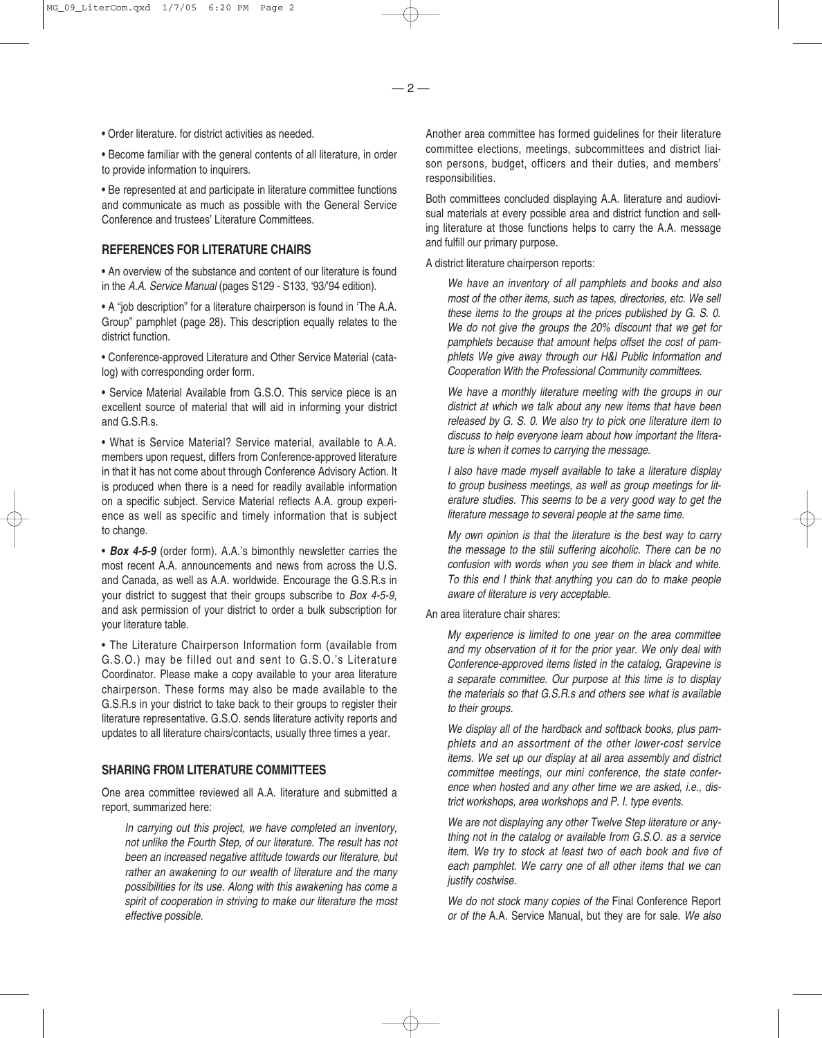• Order literature. for district activities as needed.

• Become familiar with the general contents of all literature, in order to provide information to inquirers.

• Be represented at and participate in literature committee functions and communicate as much as possible with the General Service Conference and trustees' Literature Committees.

## **REFERENCES FOR LITERATURE CHAIRS**

• An overview of the substance and content of our literature is found in the *A.A. Service Manual* (pages S129 - S133, '93/'94 edition).

• A "job description" for a literature chairperson is found in 'The A.A. Group" pamphlet (page 28). This description equally relates to the district function.

• Conference-approved Literature and Other Service Material (catalog) with corresponding order form.

• Service Material Available from G.S.O. This service piece is an excellent source of material that will aid in informing your district and G.S.R.s.

• What is Service Material? Service material, available to A.A. members upon request, differs from Conference-approved literature in that it has not come about through Conference Advisory Action. It is produced when there is a need for readily available information on a specific subject. Service Material reflects A.A. group experience as well as specific and timely information that is subject to change.

• *Box 4-5-9* (order form). A.A.'s bimonthly newsletter carries the most recent A.A. announcements and news from across the U.S. and Canada, as well as A.A. worldwide. Encourage the G.S.R.s in your district to suggest that their groups subscribe to *Box 4-5-9,* and ask permission of your district to order a bulk subscription for your literature table.

• The Literature Chairperson Information form (available from G.S.O.) may be filled out and sent to G.S.O.'s Literature Coordinator. Please make a copy available to your area literature chairperson. These forms may also be made available to the G.S.R.s in your district to take back to their groups to register their literature representative. G.S.O. sends literature activity reports and updates to all literature chairs/contacts, usually three times a year.

### **SHARING FROM LITERATURE COMMITTEES**

One area committee reviewed all A.A. literature and submitted a report, summarized here:

*In carrying out this project, we have completed an inventory, not unlike the Fourth Step, of our literature. The result has not been an increased negative attitude towards our literature, but rather an awakening to our wealth of literature and the many possibilities for its use. Along with this awakening has come a spirit of cooperation in striving to make our literature the most effective possible.*

Another area committee has formed guidelines for their literature committee elections, meetings, subcommittees and district liaison persons, budget, officers and their duties, and members' responsibilities.

Both committees concluded displaying A.A. literature and audiovisual materials at every possible area and district function and selling literature at those functions helps to carry the A.A. message and fulfill our primary purpose.

A district literature chairperson reports:

*We have an inventory of all pamphlets and books and also most of the other items, such as tapes, directories, etc. We sell these items to the groups at the prices published by G. S. 0. We do not give the groups the 20% discount that we get for pamphlets because that amount helps offset the cost of pamphlets We give away through our H&I Public Information and Cooperation With the Professional Community committees.*

*We have a monthly literature meeting with the groups in our district at which we talk about any new items that have been released by G. S. 0. We also try to pick one literature item to discuss to help everyone learn about how important the literature is when it comes to carrying the message.*

*I also have made myself available to take a literature display to group business meetings, as well as group meetings for literature studies. This seems to be a very good way to get the literature message to several people at the same time.*

*My own opinion is that the literature is the best way to carry the message to the still suffering alcoholic. There can be no confusion with words when you see them in black and white. To this end I think that anything you can do to make people aware of literature is very acceptable.*

An area literature chair shares:

*My experience is limited to one year on the area committee and my observation of it for the prior year. We only deal with Conference-approved items listed in the catalog, Grapevine is a separate committee. Our purpose at this time is to display the materials so that G.S.R.s and others see what is available to their groups.*

*We display all of the hardback and softback books, plus pamphlets and an assortment of the other lower-cost service items. We set up our display at all area assembly and district committee meetings, our mini conference, the state conference when hosted and any other time we are asked, i.e., district workshops, area workshops and P. I. type events.*

*We are not displaying any other Twelve Step literature or anything not in the catalog or available from G.S.O. as a service item. We try to stock at least two of each book and five of each pamphlet. We carry one of all other items that we can justify costwise.*

*We do not stock many copies of the* Final Conference Report *or of the* A.A. Service Manual, but they are for sale. *We also*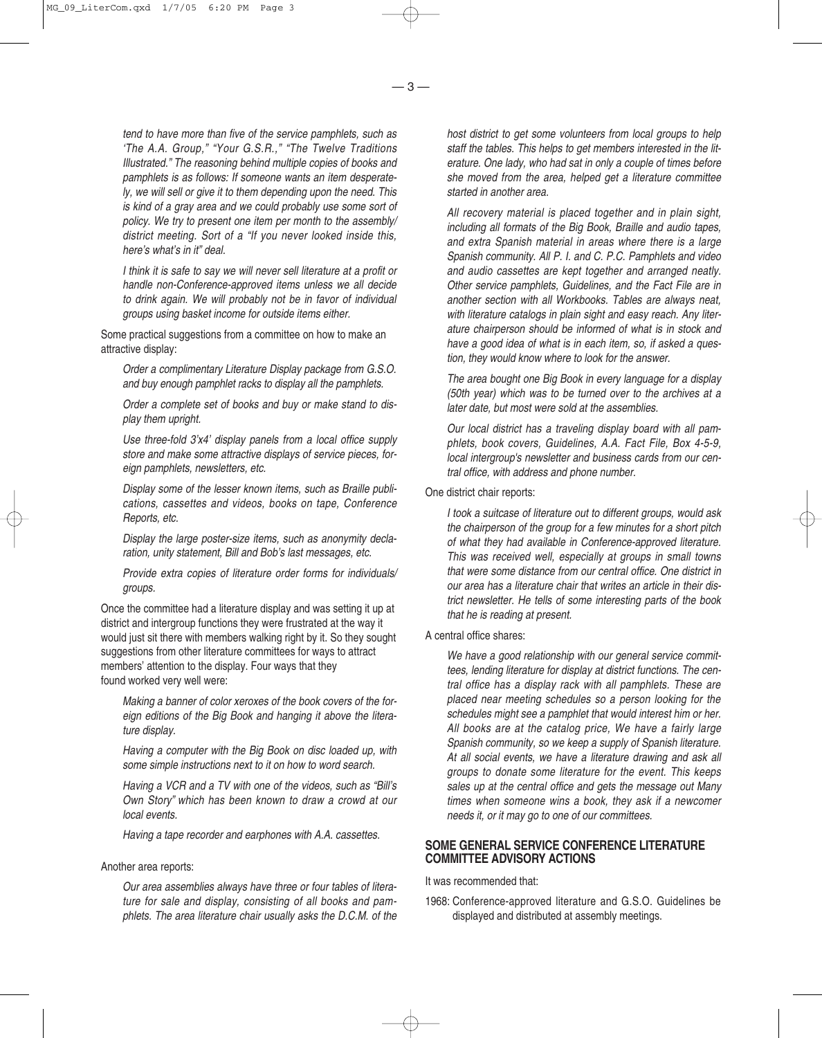*tend to have more than five of the service pamphlets, such as 'The A.A. Group," "Your G.S.R.," "The Twelve Traditions Illustrated." The reasoning behind multiple copies of books and pamphlets is as follows: If someone wants an item desperately, we will sell or give it to them depending upon the need. This is kind of a gray area and we could probably use some sort of policy. We try to present one item per month to the assembly/ district meeting. Sort of a "If you never looked inside this, here's what's in it" deal.*

*I think it is safe to say we will never sell literature at a profit or handle non-Conference-approved items unless we all decide to drink again. We will probably not be in favor of individual groups using basket income for outside items either.*

Some practical suggestions from a committee on how to make an attractive display:

*Order a complimentary Literature Display package from G.S.O. and buy enough pamphlet racks to display all the pamphlets.*

*Order a complete set of books and buy or make stand to display them upright.*

*Use three-fold 3'x4' display panels from a local office supply store and make some attractive displays of service pieces, foreign pamphlets, newsletters, etc.*

*Display some of the lesser known items, such as Braille publications, cassettes and videos, books on tape, Conference Reports, etc.*

*Display the large poster-size items, such as anonymity declaration, unity statement, Bill and Bob's last messages, etc.*

*Provide extra copies of literature order forms for individuals/ groups.*

Once the committee had a literature display and was setting it up at district and intergroup functions they were frustrated at the way it would just sit there with members walking right by it. So they sought suggestions from other literature committees for ways to attract members' attention to the display. Four ways that they found worked very well were:

*Making a banner of color xeroxes of the book covers of the foreign editions of the Big Book and hanging it above the literature display.*

*Having a computer with the Big Book on disc loaded up, with some simple instructions next to it on how to word search.*

*Having a VCR and a TV with one of the videos, such as "Bill's Own Story" which has been known to draw a crowd at our local events.*

*Having a tape recorder and earphones with A.A. cassettes.*

#### Another area reports:

*Our area assemblies always have three or four tables of literature for sale and display, consisting of all books and pamphlets. The area literature chair usually asks the D.C.M. of the*

*host district to get some volunteers from local groups to help staff the tables. This helps to get members interested in the literature. One lady, who had sat in only a couple of times before she moved from the area, helped get a literature committee started in another area.*

*All recovery material is placed together and in plain sight, including all formats of the Big Book, Braille and audio tapes, and extra Spanish material in areas where there is a large Spanish community. All P. I. and C. P.C. Pamphlets and video and audio cassettes are kept together and arranged neatly. Other service pamphlets, Guidelines, and the Fact File are in another section with all Workbooks. Tables are always neat, with literature catalogs in plain sight and easy reach. Any literature chairperson should be informed of what is in stock and have a good idea of what is in each item, so, if asked a question, they would know where to look for the answer.*

*The area bought one Big Book in every language for a display (50th year) which was to be turned over to the archives at a later date, but most were sold at the assemblies.*

*Our local district has a traveling display board with all pamphlets, book covers, Guidelines, A.A. Fact File, Box 4-5-9, local intergroup's newsletter and business cards from our central office, with address and phone number.*

#### One district chair reports:

*I took a suitcase of literature out to different groups, would ask the chairperson of the group for a few minutes for a short pitch of what they had available in Conference-approved literature. This was received well, especially at groups in small towns that were some distance from our central office. One district in our area has a literature chair that writes an article in their district newsletter. He tells of some interesting parts of the book that he is reading at present.*

## A central office shares:

*We have a good relationship with our general service committees, lending literature for display at district functions. The central office has a display rack with all pamphlets. These are placed near meeting schedules so a person looking for the schedules might see a pamphlet that would interest him or her. All books are at the catalog price, We have a fairly large Spanish community, so we keep a supply of Spanish literature. At all social events, we have a literature drawing and ask all groups to donate some literature for the event. This keeps sales up at the central office and gets the message out Many times when someone wins a book, they ask if a newcomer needs it, or it may go to one of our committees.*

## **SOME GENERAL SERVICE CONFERENCE LITERATURE COMMITTEE ADVISORY ACTIONS**

It was recommended that:

1968: Conference-approved literature and G.S.O. Guidelines be displayed and distributed at assembly meetings.